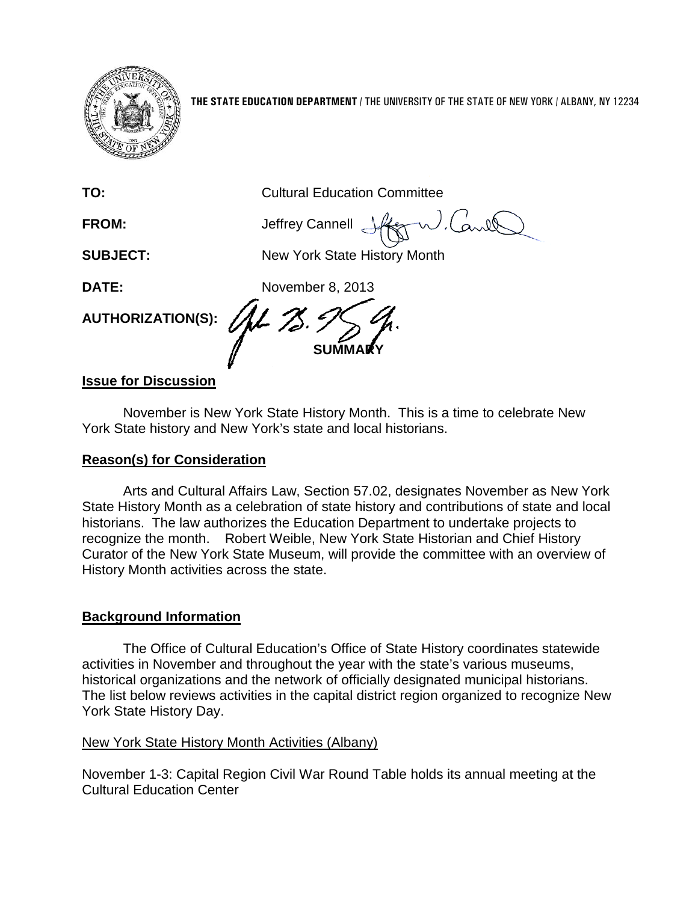

**THE STATE EDUCATION DEPARTMENT** / THE UNIVERSITY OF THE STATE OF NEW YORK / ALBANY, NY 12234

**TO:** Cultural Education Committee

FROM: **Jeffrey Cannell** 

**SUBJECT:** New York State History Month

**SUMMARY**

**DATE:** November 8, 2013

**AUTHORIZATION(S):**

## **Issue for Discussion**

November is New York State History Month. This is a time to celebrate New York State history and New York's state and local historians.

## **Reason(s) for Consideration**

Arts and Cultural Affairs Law, Section 57.02, designates November as New York State History Month as a celebration of state history and contributions of state and local historians. The law authorizes the Education Department to undertake projects to recognize the month. Robert Weible, New York State Historian and Chief History Curator of the New York State Museum, will provide the committee with an overview of History Month activities across the state.

## **Background Information**

The Office of Cultural Education's Office of State History coordinates statewide activities in November and throughout the year with the state's various museums, historical organizations and the network of officially designated municipal historians. The list below reviews activities in the capital district region organized to recognize New York State History Day.

## New York State History Month Activities (Albany)

November 1-3: Capital Region Civil War Round Table holds its annual meeting at the Cultural Education Center